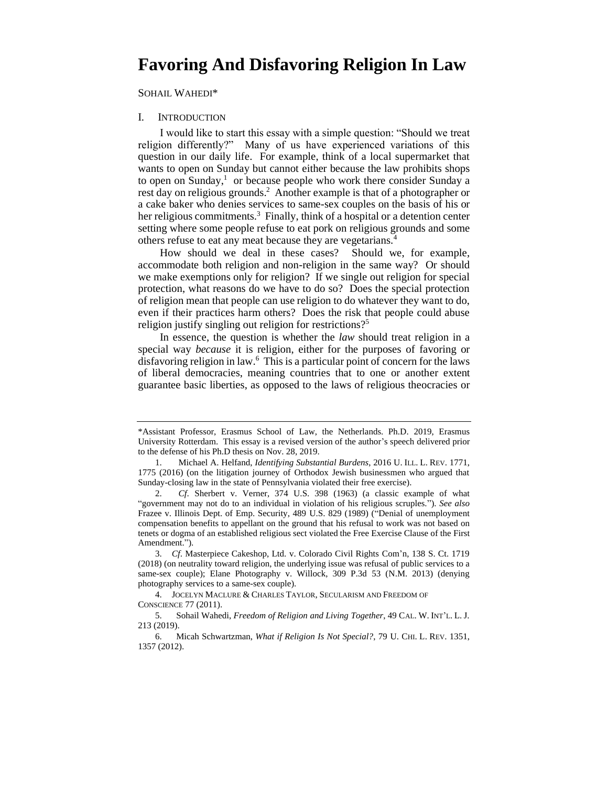# **Favoring And Disfavoring Religion In Law**

SOHAIL WAHEDI\*

#### I. INTRODUCTION

 religion differently?" Many of us have experienced variations of this question in our daily life. For example, think of a local supermarket that wants to open on Sunday but cannot either because the law prohibits shops to open on Sunday, $<sup>1</sup>$  or because people who work there consider Sunday a</sup> rest day on religious grounds.<sup>2</sup> Another example is that of a photographer or a cake baker who denies services to same-sex couples on the basis of his or her religious commitments.<sup>3</sup> Finally, think of a hospital or a detention center I would like to start this essay with a simple question: "Should we treat setting where some people refuse to eat pork on religious grounds and some others refuse to eat any meat because they are vegetarians.4

 How should we deal in these cases? Should we, for example, accommodate both religion and non-religion in the same way? Or should protection, what reasons do we have to do so? Does the special protection of religion mean that people can use religion to do whatever they want to do, even if their practices harm others? Does the risk that people could abuse we make exemptions only for religion? If we single out religion for special religion justify singling out religion for restrictions?<sup>5</sup>

 special way *because* it is religion, either for the purposes of favoring or disfavoring religion in law.6 This is a particular point of concern for the laws of liberal democracies, meaning countries that to one or another extent guarantee basic liberties, as opposed to the laws of religious theocracies or In essence, the question is whether the *law* should treat religion in a

<sup>\*</sup>Assistant Professor, Erasmus School of Law, the Netherlands. Ph.D. 2019, Erasmus University Rotterdam. This essay is a revised version of the author's speech delivered prior to the defense of his Ph.D thesis on Nov. 28, 2019.

 1775 (2016) (on the litigation journey of Orthodox Jewish businessmen who argued that 1. Michael A. Helfand, *Identifying Substantial Burdens*, 2016 U. ILL. L. REV. 1771, Sunday-closing law in the state of Pennsylvania violated their free exercise).

<sup>2.</sup> *Cf*. Sherbert v. Verner, 374 U.S. 398 (1963) (a classic example of what "government may not do to an individual in violation of his religious scruples."). *See also*  Frazee v. Illinois Dept. of Emp. Security, 489 U.S. 829 (1989) ("Denial of unemployment compensation benefits to appellant on the ground that his refusal to work was not based on tenets or dogma of an established religious sect violated the Free Exercise Clause of the First Amendment.").

 3. *Cf*. Masterpiece Cakeshop, Ltd. v. Colorado Civil Rights Com'n, 138 S. Ct. 1719 (2018) (on neutrality toward religion, the underlying issue was refusal of public services to a same-sex couple); Elane Photography v. Willock, 309 P.3d 53 (N.M. 2013) (denying photography services to a same-sex couple).

 4. JOCELYN MACLURE & CHARLES TAYLOR, SECULARISM AND FREEDOM OF CONSCIENCE 77 (2011).

 5. Sohail Wahedi, *Freedom of Religion and Living Together*, 49 CAL. W. INT'L. L. J. 213 (2019).

 6. Micah Schwartzman, *What if Religion Is Not Special?*, 79 U. CHI. L. REV. 1351, 1357 (2012).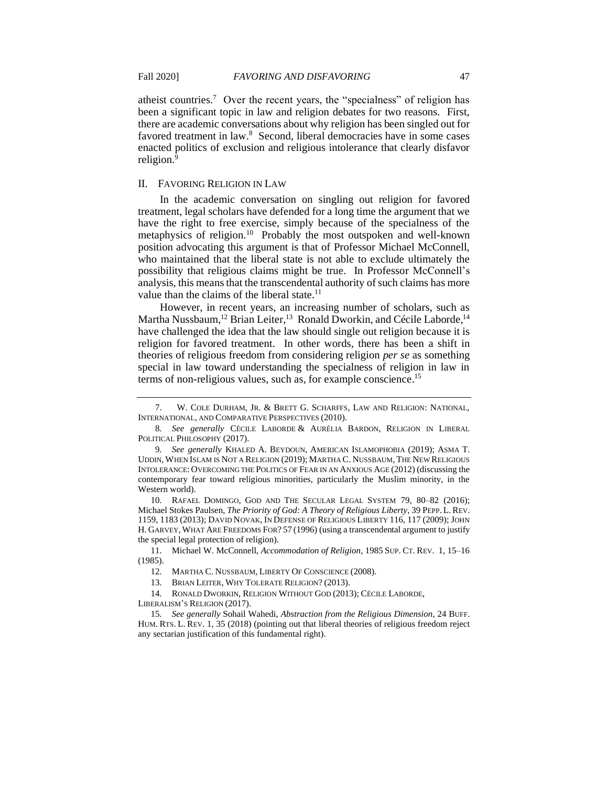atheist countries.<sup>7</sup> Over the recent years, the "specialness" of religion has been a significant topic in law and religion debates for two reasons. First, there are academic conversations about why religion has been singled out for favored treatment in law.<sup>8</sup> Second, liberal democracies have in some cases enacted politics of exclusion and religious intolerance that clearly disfavor religion.<sup>9</sup>

### II. FAVORING RELIGION IN LAW

 In the academic conversation on singling out religion for favored treatment, legal scholars have defended for a long time the argument that we have the right to free exercise, simply because of the specialness of the metaphysics of religion.<sup>10</sup> Probably the most outspoken and well-known position advocating this argument is that of Professor Michael McConnell, who maintained that the liberal state is not able to exclude ultimately the possibility that religious claims might be true. In Professor McConnell's analysis, this means that the transcendental authority of such claims has more value than the claims of the liberal state.<sup>11</sup>

 However, in recent years, an increasing number of scholars, such as Martha Nussbaum,<sup>12</sup> Brian Leiter,<sup>13</sup> Ronald Dworkin, and Cécile Laborde,<sup>14</sup> religion for favored treatment. In other words, there has been a shift in special in law toward understanding the specialness of religion in law in have challenged the idea that the law should single out religion because it is theories of religious freedom from considering religion *per se* as something terms of non-religious values, such as, for example [conscience.](https://conscience.15) 15

 10. RAFAEL DOMINGO, GOD AND THE SECULAR LEGAL SYSTEM 79, 80–82 (2016); Michael Stokes Paulsen, *The Priority of God: A Theory of Religious Liberty*, 39 PEPP. L. REV. 1159, 1183 (2013); DAVID NOVAK, IN DEFENSE OF RELIGIOUS LIBERTY 116, 117 (2009); JOHN H. GARVEY, WHAT ARE FREEDOMS FOR? 57 (1996) (using a transcendental argument to justify the special legal protection of religion).

11. Michael W. McConnell, *Accommodation of Religion*, 1985 SUP. CT. REV. 1, 15–16 (1985).

13. BRIAN LEITER, WHY TOLERATE RELIGION? (2013).

14. RONALD DWORKIN, RELIGION WITHOUT GOD (2013); CÉCILE LABORDE,

LIBERALISM'S RELIGION (2017).

 HUM. RTS. L. REV. 1, 35 (2018) (pointing out that liberal theories of religious freedom reject 15*. See generally* Sohail Wahedi, *Abstraction from the Religious Dimension*, 24 BUFF. any sectarian justification of this fundamental right).

<sup>7.</sup> W. COLE DURHAM, JR. & BRETT G. SCHARFFS, LAW AND RELIGION: NATIONAL, INTERNATIONAL, AND COMPARATIVE PERSPECTIVES (2010).

 8*. See generally* CÉCILE LABORDE & AURÉLIA BARDON, RELIGION IN LIBERAL POLITICAL PHILOSOPHY (2017).

 UDDIN, WHEN ISLAM IS NOT A RELIGION (2019); MARTHA C. NUSSBAUM, THE NEW RELIGIOUS INTOLERANCE: OVERCOMING THE POLITICS OF FEAR IN AN ANXIOUS AGE (2012) (discussing the 9*. See generally* KHALED A. BEYDOUN, AMERICAN ISLAMOPHOBIA (2019); ASMA T. contemporary fear toward religious minorities, particularly the Muslim minority, in the Western world).

<sup>12.</sup> MARTHA C. NUSSBAUM, LIBERTY OF CONSCIENCE (2008).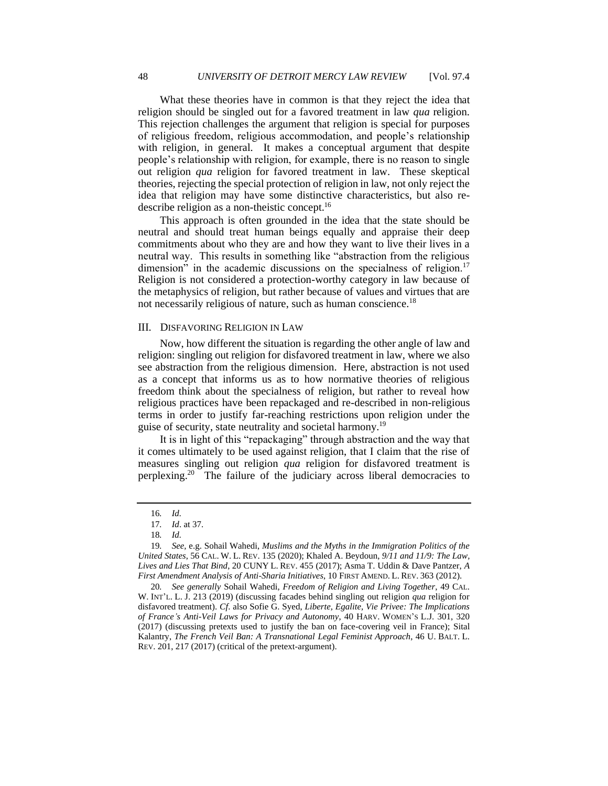What these theories have in common is that they reject the idea that religion should be singled out for a favored treatment in law *qua* religion. This rejection challenges the argument that religion is special for purposes with religion, in general. It makes a conceptual argument that despite people's relationship with religion, for example, there is no reason to single out religion *qua* religion for favored treatment in law. These skeptical theories, rejecting the special protection of religion in law, not only reject the idea that religion may have some distinctive characteristics, but also re-48 UNIVERSITY OF DETROIT MERCY LAW REVIEW [Vol. 97.4<br>
What these theories have in common is that they reject the idea that<br>
religion should be singled out for a favored treatment in law qua religion.<br>
This rejection challe of religious freedom, religious accommodation, and people's relationship describe religion as a non-theistic concept.16

 This approach is often grounded in the idea that the state should be neutral and should treat human beings equally and appraise their deep commitments about who they are and how they want to live their lives in a neutral way. This results in something like "abstraction from the religious dimension" in the academic discussions on the specialness of religion.<sup>17</sup> Religion is not considered a protection-worthy category in law because of the metaphysics of religion, but rather because of values and virtues that are not necessarily religious of nature, such as human conscience.<sup>18</sup>

## III. DISFAVORING RELIGION IN LAW

 Now, how different the situation is regarding the other angle of law and religion: singling out religion for disfavored treatment in law, where we also see abstraction from the religious dimension. Here, abstraction is not used as a concept that informs us as to how normative theories of religious freedom think about the specialness of religion, but rather to reveal how religious practices have been repackaged and re-described in non-religious terms in order to justify far-reaching restrictions upon religion under the guise of security, state neutrality and societal [harmony.19](https://harmony.19) 

 it comes ultimately to be used against religion, that I claim that the rise of measures singling out religion *qua* religion for disfavored treatment is perplexing.<sup>20</sup> The failure of the judiciary across liberal democracies to It is in light of this "repackaging" through abstraction and the way that

20*. See generally* Sohail Wahedi, *Freedom of Religion and Living Together*, 49 CAL. W. INT'L. L. J. 213 (2019) (discussing facades behind singling out religion *qua* religion for disfavored treatment). *Cf*. also Sofie G. Syed, *Liberte, Egalite, Vie Privee: The Implications of France's Anti-Veil Laws for Privacy and Autonomy*, 40 HARV. WOMEN'S L.J. 301, 320 (2017) (discussing pretexts used to justify the ban on face-covering veil in France); Sital Kalantry, *The French Veil Ban: A Transnational Legal Feminist Approach*, 46 U. BALT. L. REV. 201, 217 (2017) (critical of the pretext-argument).

<sup>16</sup>*. Id.* 

<sup>17</sup>*. Id*. at 37.

<sup>18</sup>*. Id.* 

<sup>19</sup>*. See,* e.g. Sohail Wahedi, *Muslims and the Myths in the Immigration Politics of the United States*, 56 CAL. W. L. REV. 135 (2020); Khaled A. Beydoun, *9/11 and 11/9: The Law, Lives and Lies That Bind*, 20 CUNY L. REV. 455 (2017); Asma T. Uddin & Dave Pantzer, *A First Amendment Analysis of Anti-Sharia Initiatives*, 10 FIRST AMEND. L. REV. 363 (2012).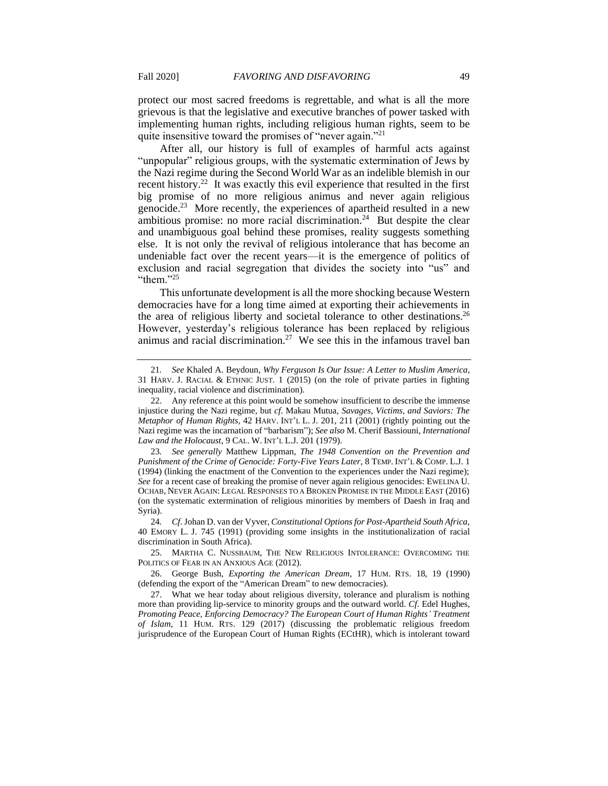protect our most sacred freedoms is regrettable, and what is all the more grievous is that the legislative and executive branches of power tasked with implementing human rights, including religious human rights, seem to be quite insensitive toward the promises of "never again."<sup>21</sup>

 After all, our history is full of examples of harmful acts against "unpopular" religious groups, with the systematic extermination of Jews by the Nazi regime during the Second World War as an indelible blemish in our recent history.<sup>22</sup> It was exactly this evil experience that resulted in the first big promise of no more religious animus and never again religious genocide.<sup>23</sup> More recently, the experiences of apartheid resulted in a new ambitious promise: no more racial discrimination.<sup>24</sup> But despite the clear else. It is not only the revival of religious intolerance that has become an undeniable fact over the recent years—it is the emergence of politics of exclusion and racial segregation that divides the society into "us" and Fall 2020] *FAVORING AND DISFAVORING* 49<br>protect our most sacred freedoms is regrettable, and what is all the more<br>grievous is that the legislative and executive branches of power tasked with<br>impelmenting human rights, inc and unambiguous goal behind these promises, reality suggests something "them."<sup>25</sup>

 This unfortunate development is all the more shocking because Western democracies have for a long time aimed at exporting their achievements in the area of religious liberty and societal tolerance to other destinations.<sup>26</sup> animus and racial discrimination.<sup>27</sup> We see this in the infamous travel ban However, yesterday's religious tolerance has been replaced by religious

 25. MARTHA C. NUSSBAUM, THE NEW RELIGIOUS INTOLERANCE: OVERCOMING THE POLITICS OF FEAR IN AN ANXIOUS AGE (2012).

 31 HARV. J. RACIAL & ETHNIC JUST. 1 (2015) (on the role of private parties in fighting 21*. See* Khaled A. Beydoun, *Why Ferguson Is Our Issue: A Letter to Muslim America*, inequality, racial violence and discrimination).

<sup>22.</sup> Any reference at this point would be somehow insufficient to describe the immense injustice during the Nazi regime, but *cf*. Makau Mutua, *Savages, Victims, and Saviors: The Metaphor of Human Rights*, 42 HARV. INT'L L. J. 201, 211 (2001) (rightly pointing out the Nazi regime was the incarnation of "barbarism"); *See also* M. Cherif Bassiouni, *International Law and the Holocaust*, 9 CAL. W. INT'L L.J. 201 (1979).

 OCHAB, NEVER AGAIN: LEGAL RESPONSES TO A BROKEN PROMISE IN THE MIDDLE EAST (2016) (on the systematic extermination of religious minorities by members of Daesh in Iraq and 23*. See generally* Matthew Lippman, *The 1948 Convention on the Prevention and Punishment of the Crime of Genocide: Forty-Five Years Later*, 8 TEMP. INT'L & COMP. L.J. 1 (1994) (linking the enactment of the Convention to the experiences under the Nazi regime); *See* for a recent case of breaking the promise of never again religious genocides: EWELINA U. Syria).

<sup>24</sup>*. Cf*. Johan D. van der Vyver, *Constitutional Options for Post-Apartheid South Africa*, 40 EMORY L. J. 745 (1991) (providing some insights in the institutionalization of racial discrimination in South Africa).

<sup>26.</sup> George Bush, *Exporting the American Dream*, 17 HUM. RTS. 18, 19 (1990) (defending the export of the "American Dream" to new democracies).

 more than providing lip-service to minority groups and the outward world. *Cf*. Edel Hughes, 27. What we hear today about religious diversity, tolerance and pluralism is nothing *Promoting Peace, Enforcing Democracy? The European Court of Human Rights' Treatment of Islam*, 11 HUM. RTS. 129 (2017) (discussing the problematic religious freedom jurisprudence of the European Court of Human Rights (ECtHR), which is intolerant toward